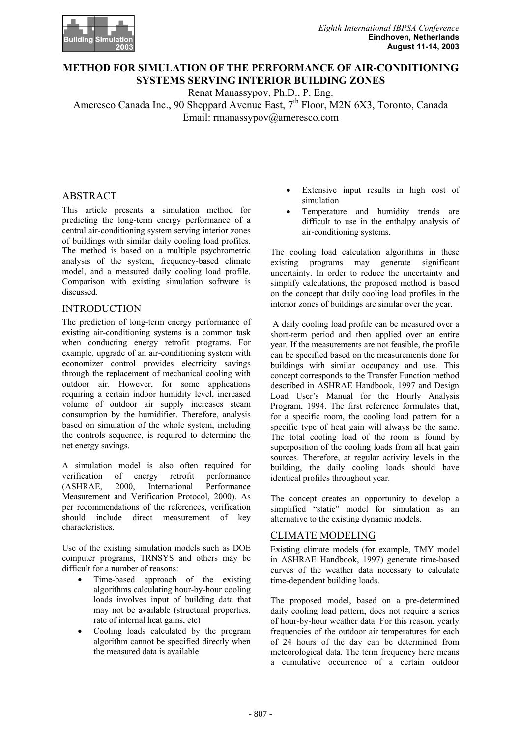

# **METHOD FOR SIMULATION OF THE PERFORMANCE OF AIR-CONDITIONING SYSTEMS SERVING INTERIOR BUILDING ZONES**

Renat Manassypov, Ph.D., P. Eng.

Ameresco Canada Inc., 90 Sheppard Avenue East, 7<sup>th</sup> Floor, M2N 6X3, Toronto, Canada Email: rmanassypov@ameresco.com

## ABSTRACT

This article presents a simulation method for predicting the long-term energy performance of a central air-conditioning system serving interior zones of buildings with similar daily cooling load profiles. The method is based on a multiple psychrometric analysis of the system, frequency-based climate model, and a measured daily cooling load profile. Comparison with existing simulation software is discussed.

## INTRODUCTION

The prediction of long-term energy performance of existing air-conditioning systems is a common task when conducting energy retrofit programs. For example, upgrade of an air-conditioning system with economizer control provides electricity savings through the replacement of mechanical cooling with outdoor air. However, for some applications requiring a certain indoor humidity level, increased volume of outdoor air supply increases steam consumption by the humidifier. Therefore, analysis based on simulation of the whole system, including the controls sequence, is required to determine the net energy savings.

A simulation model is also often required for verification of energy retrofit performance (ASHRAE, 2000, International Performance Measurement and Verification Protocol, 2000). As per recommendations of the references, verification should include direct measurement of key characteristics.

Use of the existing simulation models such as DOE computer programs, TRNSYS and others may be difficult for a number of reasons:

- Time-based approach of the existing algorithms calculating hour-by-hour cooling loads involves input of building data that may not be available (structural properties, rate of internal heat gains, etc)
- Cooling loads calculated by the program algorithm cannot be specified directly when the measured data is available
- Extensive input results in high cost of simulation
- Temperature and humidity trends are difficult to use in the enthalpy analysis of air-conditioning systems.

The cooling load calculation algorithms in these existing programs may generate significant uncertainty. In order to reduce the uncertainty and simplify calculations, the proposed method is based on the concept that daily cooling load profiles in the interior zones of buildings are similar over the year.

 A daily cooling load profile can be measured over a short-term period and then applied over an entire year. If the measurements are not feasible, the profile can be specified based on the measurements done for buildings with similar occupancy and use. This concept corresponds to the Transfer Function method described in ASHRAE Handbook, 1997 and Design Load User's Manual for the Hourly Analysis Program, 1994. The first reference formulates that, for a specific room, the cooling load pattern for a specific type of heat gain will always be the same. The total cooling load of the room is found by superposition of the cooling loads from all heat gain sources. Therefore, at regular activity levels in the building, the daily cooling loads should have identical profiles throughout year.

The concept creates an opportunity to develop a simplified "static" model for simulation as an alternative to the existing dynamic models.

## CLIMATE MODELING

Existing climate models (for example, TMY model in ASHRAE Handbook, 1997) generate time-based curves of the weather data necessary to calculate time-dependent building loads.

The proposed model, based on a pre-determined daily cooling load pattern, does not require a series of hour-by-hour weather data. For this reason, yearly frequencies of the outdoor air temperatures for each of 24 hours of the day can be determined from meteorological data. The term frequency here means a cumulative occurrence of a certain outdoor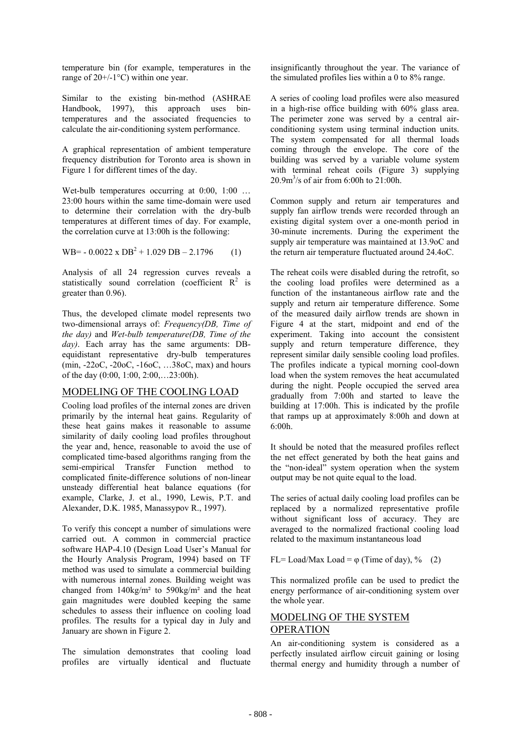temperature bin (for example, temperatures in the range of  $20+/1$ °C) within one year.

Similar to the existing bin-method (ASHRAE Handbook, 1997), this approach uses bintemperatures and the associated frequencies to calculate the air-conditioning system performance.

A graphical representation of ambient temperature frequency distribution for Toronto area is shown in Figure 1 for different times of the day.

Wet-bulb temperatures occurring at  $0:00$ ,  $1:00$  ... 23:00 hours within the same time-domain were used to determine their correlation with the dry-bulb temperatures at different times of day. For example, the correlation curve at 13:00h is the following:

WB=  $-0.0022 \times DB^2 + 1.029 DB - 2.1796$  (1)

Analysis of all 24 regression curves reveals a statistically sound correlation (coefficient  $R^2$  is greater than 0.96).

Thus, the developed climate model represents two two-dimensional arrays of: *Frequency(DB, Time of the day)* and *Wet-bulb temperature(DB, Time of the*  day). Each array has the same arguments: DBequidistant representative dry-bulb temperatures (min, -22oC, -20oC, -16oC, …38oC, max) and hours of the day (0:00, 1:00, 2:00,…23:00h).

## MODELING OF THE COOLING LOAD

Cooling load profiles of the internal zones are driven primarily by the internal heat gains. Regularity of these heat gains makes it reasonable to assume similarity of daily cooling load profiles throughout the year and, hence, reasonable to avoid the use of complicated time-based algorithms ranging from the semi-empirical Transfer Function method to complicated finite-difference solutions of non-linear unsteady differential heat balance equations (for example, Clarke, J. et al., 1990, Lewis, P.T. and Alexander, D.K. 1985, Manassypov R., 1997).

To verify this concept a number of simulations were carried out. A common in commercial practice software HAP-4.10 (Design Load User's Manual for the Hourly Analysis Program, 1994) based on TF method was used to simulate a commercial building with numerous internal zones. Building weight was changed from  $140\text{kg/m}^2$  to  $590\text{kg/m}^2$  and the heat gain magnitudes were doubled keeping the same schedules to assess their influence on cooling load profiles. The results for a typical day in July and January are shown in Figure 2.

The simulation demonstrates that cooling load profiles are virtually identical and fluctuate insignificantly throughout the year. The variance of the simulated profiles lies within a 0 to 8% range.

A series of cooling load profiles were also measured in a high-rise office building with 60% glass area. The perimeter zone was served by a central airconditioning system using terminal induction units. The system compensated for all thermal loads coming through the envelope. The core of the building was served by a variable volume system with terminal reheat coils (Figure 3) supplying 20.9m3 /s of air from 6:00h to 21:00h.

Common supply and return air temperatures and supply fan airflow trends were recorded through an existing digital system over a one-month period in 30-minute increments. During the experiment the supply air temperature was maintained at 13.9oC and the return air temperature fluctuated around 24.4oC.

The reheat coils were disabled during the retrofit, so the cooling load profiles were determined as a function of the instantaneous airflow rate and the supply and return air temperature difference. Some of the measured daily airflow trends are shown in Figure 4 at the start, midpoint and end of the experiment. Taking into account the consistent supply and return temperature difference, they represent similar daily sensible cooling load profiles. The profiles indicate a typical morning cool-down load when the system removes the heat accumulated during the night. People occupied the served area gradually from 7:00h and started to leave the building at 17:00h. This is indicated by the profile that ramps up at approximately 8:00h and down at  $6:00h$ 

It should be noted that the measured profiles reflect the net effect generated by both the heat gains and the "non-ideal" system operation when the system output may be not quite equal to the load.

The series of actual daily cooling load profiles can be replaced by a normalized representative profile without significant loss of accuracy. They are averaged to the normalized fractional cooling load related to the maximum instantaneous load

FL= Load/Max Load =  $\varphi$  (Time of day), % (2)

This normalized profile can be used to predict the energy performance of air-conditioning system over the whole year.

## MODELING OF THE SYSTEM OPERATION

An air-conditioning system is considered as a perfectly insulated airflow circuit gaining or losing thermal energy and humidity through a number of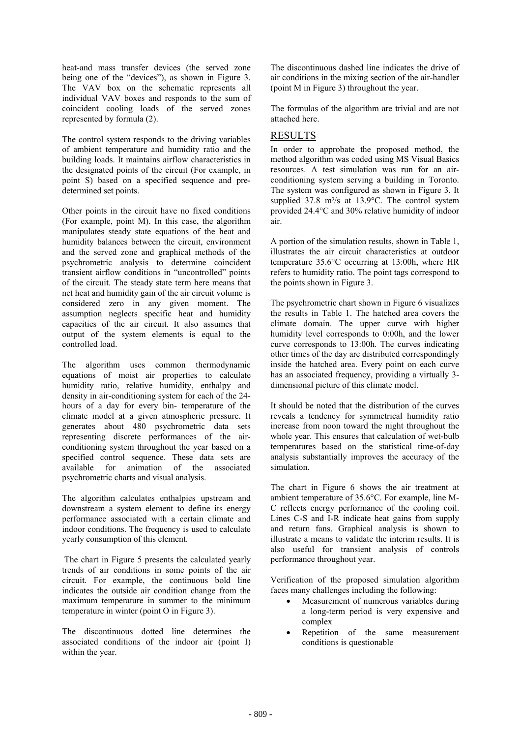heat-and mass transfer devices (the served zone being one of the "devices"), as shown in Figure 3. The VAV box on the schematic represents all individual VAV boxes and responds to the sum of coincident cooling loads of the served zones represented by formula (2).

The control system responds to the driving variables RESULTS of ambient temperature and humidity ratio and the building loads. It maintains airflow characteristics in the designated points of the circuit (For example, in point S) based on a specified sequence and predetermined set points.

Other points in the circuit have no fixed conditions (For example, point M). In this case, the algorithm manipulates steady state equations of the heat and humidity balances between the circuit, environment and the served zone and graphical methods of the psychrometric analysis to determine coincident transient airflow conditions in "uncontrolled" points of the circuit. The steady state term here means that net heat and humidity gain of the air circuit volume is considered zero in any given moment. The assumption neglects specific heat and humidity capacities of the air circuit. It also assumes that output of the system elements is equal to the controlled load.

The algorithm uses common thermodynamic equations of moist air properties to calculate humidity ratio, relative humidity, enthalpy and density in air-conditioning system for each of the 24 hours of a day for every bin- temperature of the climate model at a given atmospheric pressure. It generates about 480 psychrometric data sets representing discrete performances of the airconditioning system throughout the year based on a specified control sequence. These data sets are available for animation of the associated psychrometric charts and visual analysis.

The algorithm calculates enthalpies upstream and downstream a system element to define its energy performance associated with a certain climate and indoor conditions. The frequency is used to calculate yearly consumption of this element.

The chart in Figure 5 presents the calculated yearly trends of air conditions in some points of the air circuit. For example, the continuous bold line indicates the outside air condition change from the maximum temperature in summer to the minimum temperature in winter (point O in Figure 3).

The discontinuous dotted line determines the associated conditions of the indoor air (point I) within the year.

The discontinuous dashed line indicates the drive of air conditions in the mixing section of the air-handler (point M in Figure 3) throughout the year.

The formulas of the algorithm are trivial and are not attached here.

In order to approbate the proposed method, the method algorithm was coded using MS Visual Basics resources. A test simulation was run for an airconditioning system serving a building in Toronto. The system was configured as shown in Figure 3. It supplied 37.8 m<sup>3</sup>/s at 13.9 $^{\circ}$ C. The control system provided 24.4°C and 30% relative humidity of indoor air.

A portion of the simulation results, shown in Table 1, illustrates the air circuit characteristics at outdoor temperature 35.6°C occurring at 13:00h, where HR refers to humidity ratio. The point tags correspond to the points shown in Figure 3.

The psychrometric chart shown in Figure 6 visualizes the results in Table 1. The hatched area covers the climate domain. The upper curve with higher humidity level corresponds to 0:00h, and the lower curve corresponds to 13:00h. The curves indicating other times of the day are distributed correspondingly inside the hatched area. Every point on each curve has an associated frequency, providing a virtually 3 dimensional picture of this climate model.

It should be noted that the distribution of the curves reveals a tendency for symmetrical humidity ratio increase from noon toward the night throughout the whole year. This ensures that calculation of wet-bulb temperatures based on the statistical time-of-day analysis substantially improves the accuracy of the simulation.

The chart in Figure 6 shows the air treatment at ambient temperature of 35.6°C. For example, line M-C reflects energy performance of the cooling coil. Lines C-S and I-R indicate heat gains from supply and return fans. Graphical analysis is shown to illustrate a means to validate the interim results. It is also useful for transient analysis of controls performance throughout year.

Verification of the proposed simulation algorithm faces many challenges including the following:

- Measurement of numerous variables during a long-term period is very expensive and complex
- Repetition of the same measurement conditions is questionable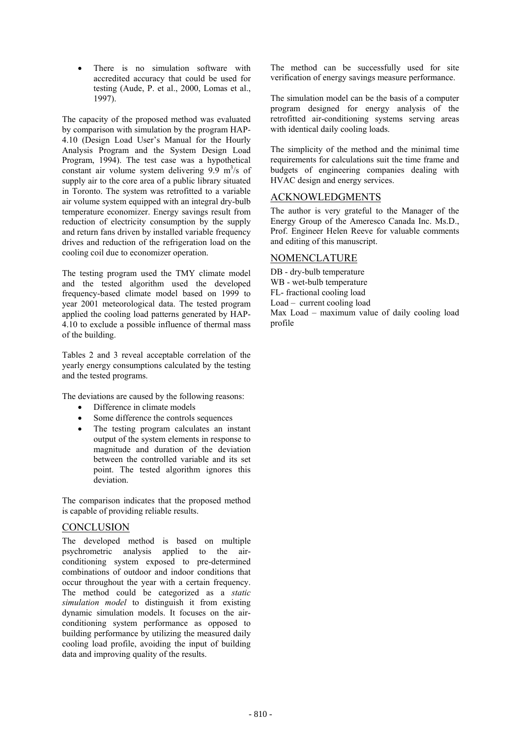• There is no simulation software with accredited accuracy that could be used for testing (Aude, P. et al., 2000, Lomas et al.,

The capacity of the proposed method was evaluated by comparison with simulation by the program HAP-4.10 (Design Load User's Manual for the Hourly Analysis Program and the System Design Load Program, 1994). The test case was a hypothetical constant air volume system delivering  $9.9 \text{ m}^3/\text{s}$  of supply air to the core area of a public library situated in Toronto. The system was retrofitted to a variable air volume system equipped with an integral dry-bulb temperature economizer. Energy savings result from reduction of electricity consumption by the supply and return fans driven by installed variable frequency drives and reduction of the refrigeration load on the cooling coil due to economizer operation.

The testing program used the TMY climate model DB - dry-bulb temperature and the tested algorithm used the developed frequency-based climate model based on 1999 to year 2001 meteorological data. The tested program applied the cooling load patterns generated by HAP-4.10 to exclude a possible influence of thermal mass of the building.

Tables 2 and 3 reveal acceptable correlation of the yearly energy consumptions calculated by the testing and the tested programs.

The deviations are caused by the following reasons:

- Difference in climate models
- Some difference the controls sequences
- The testing program calculates an instant output of the system elements in response to magnitude and duration of the deviation between the controlled variable and its set point. The tested algorithm ignores this deviation.

The comparison indicates that the proposed method is capable of providing reliable results.

### **CONCLUSION**

The developed method is based on multiple psychrometric analysis applied to the airconditioning system exposed to pre-determined combinations of outdoor and indoor conditions that occur throughout the year with a certain frequency. The method could be categorized as a *static simulation model* to distinguish it from existing dynamic simulation models. It focuses on the airconditioning system performance as opposed to building performance by utilizing the measured daily cooling load profile, avoiding the input of building data and improving quality of the results.

The method can be successfully used for site verification of energy savings measure performance.

1997). The simulation model can be the basis of a computer program designed for energy analysis of the retrofitted air-conditioning systems serving areas with identical daily cooling loads.

> The simplicity of the method and the minimal time requirements for calculations suit the time frame and budgets of engineering companies dealing with HVAC design and energy services.

## ACKNOWLEDGMENTS

The author is very grateful to the Manager of the Energy Group of the Ameresco Canada Inc. Ms.D., Prof. Engineer Helen Reeve for valuable comments and editing of this manuscript.

### NOMENCLATURE

WB - wet-bulb temperature FL- fractional cooling load Load – current cooling load Max Load – maximum value of daily cooling load profile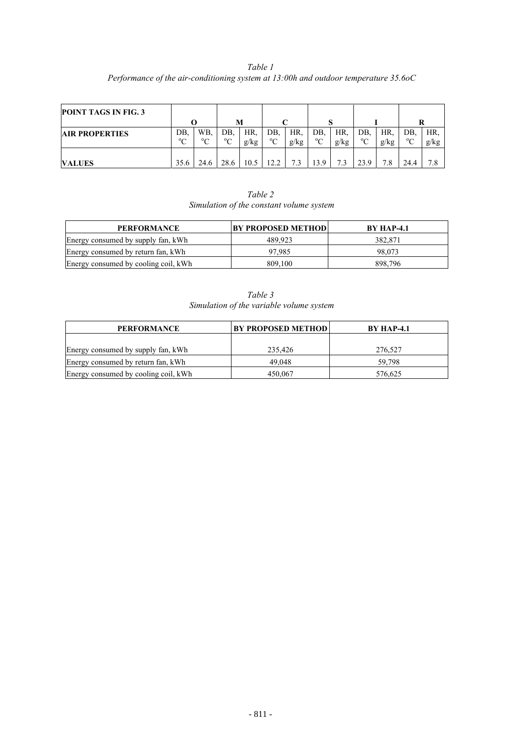*Table 1 Performance of the air-conditioning system at 13:00h and outdoor temperature 35.6oC*

| <b>POINT TAGS IN FIG. 3</b> |                  |                    |                   |             |                    |             |                    |             |                   |             |                    |             |
|-----------------------------|------------------|--------------------|-------------------|-------------|--------------------|-------------|--------------------|-------------|-------------------|-------------|--------------------|-------------|
|                             |                  |                    | M                 |             |                    |             |                    |             |                   |             | R                  |             |
| <b>AIR PROPERTIES</b>       | DB.<br>$0\Omega$ | WB.<br>$\rm ^{o}C$ | DB.<br>$^{\circ}$ | HR.<br>g/kg | DB.<br>$\rm ^{o}C$ | HR.<br>g/kg | DB.<br>$\rm ^{o}C$ | HR.<br>g/kg | DB.<br>$^{\circ}$ | HR.<br>g/kg | DB.<br>$\rm ^{o}C$ | HR.<br>g/kg |
| <b>VALUES</b>               | 35.6             | 24.6               | 28.6              | 10.5        | 12.2               |             | 13.9               | 73          | 23.<br>Q          | 7.8         | 24.4               | 7.8         |

*Table 2 Simulation of the constant volume system*

| <b>PERFORMANCE</b>                   | <b>BY PROPOSED METHODI</b> | <b>BY HAP-4.1</b> |
|--------------------------------------|----------------------------|-------------------|
| Energy consumed by supply fan, kWh   | 489.923                    | 382.871           |
| Energy consumed by return fan, kWh   | 97.985                     | 98.073            |
| Energy consumed by cooling coil, kWh | 809.100                    | 898.796           |

| Table 3                                  |
|------------------------------------------|
| Simulation of the variable volume system |

| <b>PERFORMANCE</b>                   | <b>BY PROPOSED METHOD</b> | <b>BY HAP-4.1</b> |  |  |
|--------------------------------------|---------------------------|-------------------|--|--|
|                                      |                           |                   |  |  |
| Energy consumed by supply fan, kWh   | 235.426                   | 276.527           |  |  |
| Energy consumed by return fan, kWh   | 49.048                    | 59.798            |  |  |
| Energy consumed by cooling coil, kWh | 450.067                   | 576.625           |  |  |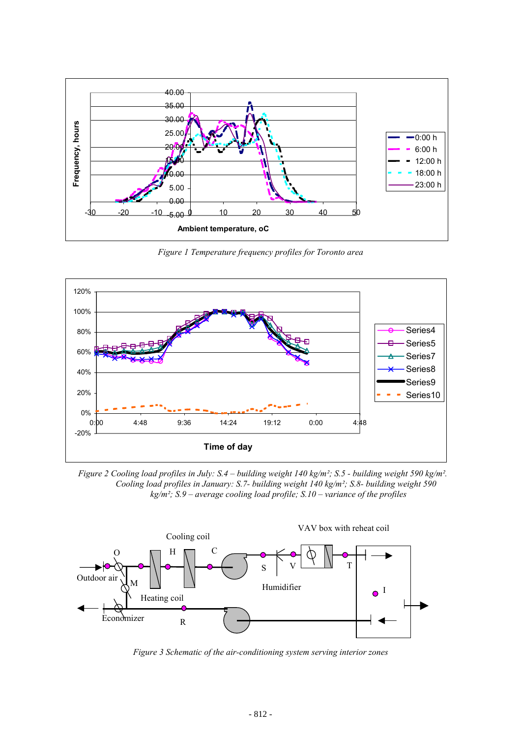

*Figure 1 Temperature frequency profiles for Toronto area*



*Figure 2 Cooling load profiles in July: S.4 – building weight 140 kg/m²; S.5 - building weight 590 kg/m². Cooling load profiles in January: S.7- building weight 140 kg/m²; S.8- building weight 590 kg/m²; S.9 – average cooling load profile; S.10 – variance of the profiles* 



*Figure 3 Schematic of the air-conditioning system serving interior zones*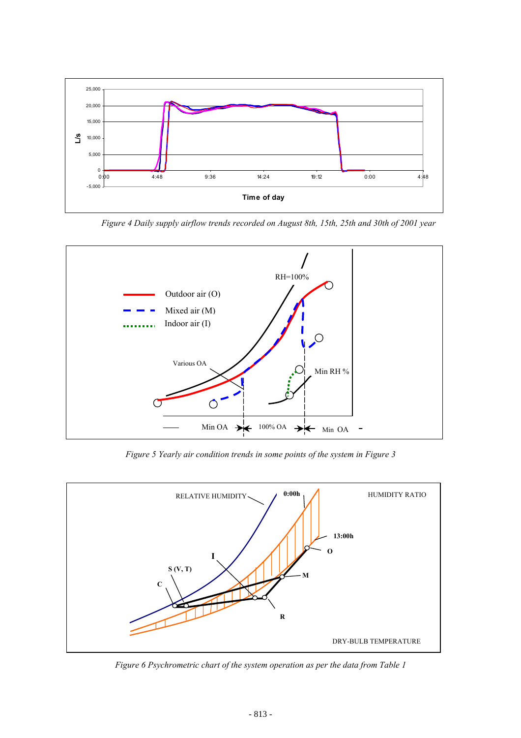

*Figure 4 Daily supply airflow trends recorded on August 8th, 15th, 25th and 30th of 2001 year* 



*Figure 5 Yearly air condition trends in some points of the system in Figure 3* 



*Figure 6 Psychrometric chart of the system operation as per the data from Table 1*